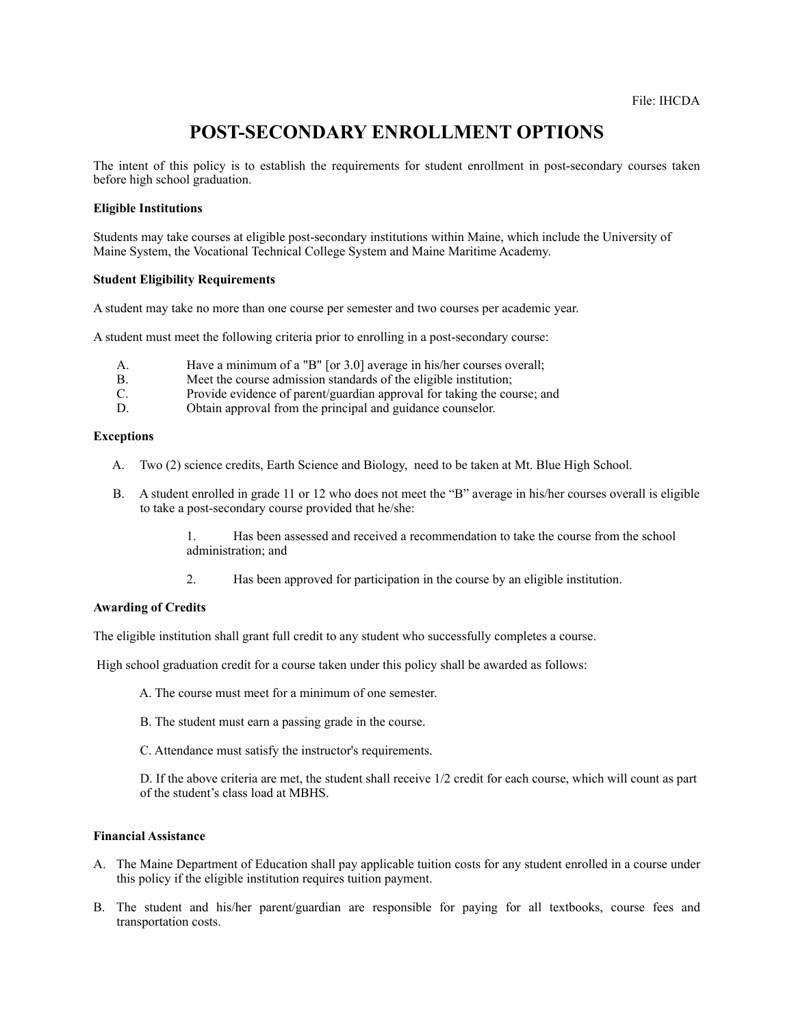# **POST-SECONDARY ENROLLMENT OPTIONS**

The intent of this policy is to establish the requirements for student enrollment in post-secondary courses taken before high school graduation.

#### **Eligible Institutions**

Students may take courses at eligible post-secondary institutions within Maine, which include the University of Maine System, the Vocational Technical College System and Maine Maritime Academy.

### **Student Eligibility Requirements**

A student may take no more than one course per semester and two courses per academic year.

A student must meet the following criteria prior to enrolling in a post-secondary course:

- A. Have a minimum of a "B" [or 3.0] average in his/her courses overall;
- B. Meet the course admission standards of the eligible institution;
- C. Provide evidence of parent/guardian approval for taking the course; and
- D. Obtain approval from the principal and guidance counselor.

#### **Exceptions**

- A. Two (2) science credits, Earth Science and Biology, need to be taken at Mt. Blue High School.
- B. A student enrolled in grade 11 or 12 who does not meet the "B" average in his/her courses overall is eligible to take a post-secondary course provided that he/she:

 1. Has been assessed and received a recommendation to take the course from the school administration; and

2. Has been approved for participation in the course by an eligible institution.

## **Awarding of Credits**

The eligible institution shall grant full credit to any student who successfully completes a course.

High school graduation credit for a course taken under this policy shall be awarded as follows:

- A. The course must meet for a minimum of one semester.
- B. The student must earn a passing grade in the course.
- C. Attendance must satisfy the instructor's requirements.

 D. If the above criteria are met, the student shall receive 1/2 credit for each course, which will count as part of the student's class load at MBHS.

#### **Financial Assistance**

- A. The Maine Department of Education shall pay applicable tuition costs for any student enrolled in a course under this policy if the eligible institution requires tuition payment.
- B. The student and his/her parent/guardian are responsible for paying for all textbooks, course fees and transportation costs.